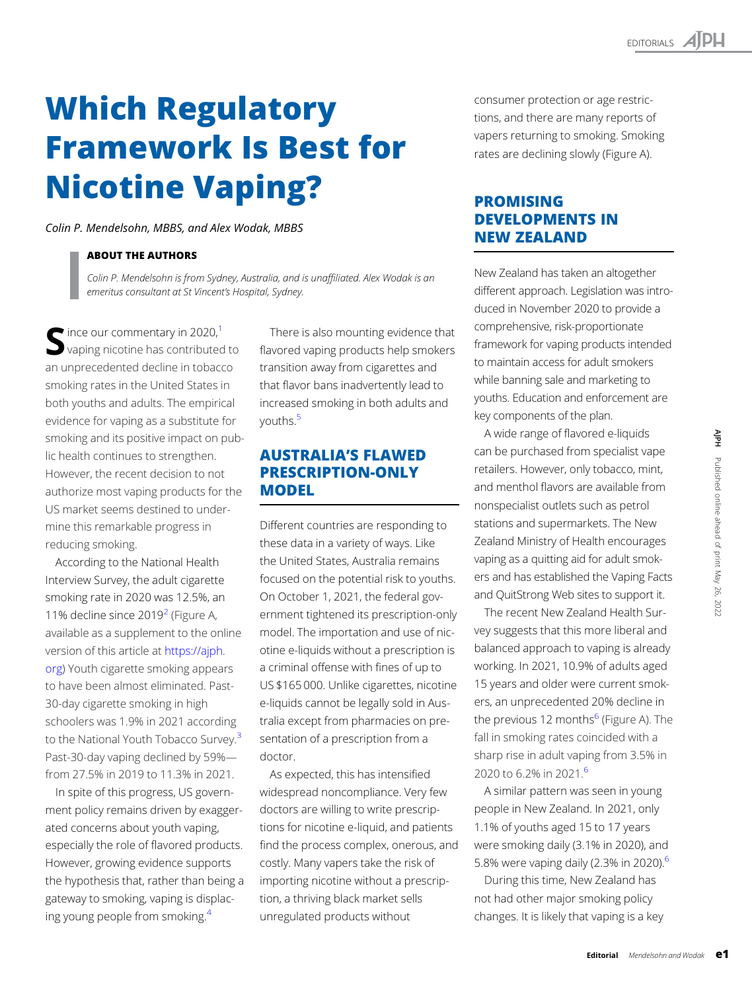# Which Regulatory **Nicotine Vaping?**

Nicotine Vaping? Colin P. Mendelsohn, MBBS, and Alex Wodak, MBBS

## **ABOUT THE AUTHORS**

Colin P. Mendelsohn is from Sydney, Australia, and is unaffiliated. Alex Wodak is an emeritus consultant at St Vincent's Hospital, Sydney.

 $\blacksquare$  ince our commentary in 2020,<sup>1</sup> vaping nicotine has contributed to an unprecedented decline in tobacco smoking rates in the United States in both youths and adults. The empirical evidence for vaping as a substitute for smoking and its positive impact on public health continues to strengthen. However, the recent decision to not authorize most vaping products for the US market seems destined to undermine this remarkable progress in reducing smoking.

According to the National Health Interview Survey, the adult cigarette smoking rate in 2020 was 12.5%, an 11% decline since  $2019<sup>2</sup>$  (Figure A, available as a supplement to the online version of this article at [https://ajph.](https://ajph.org) [org](https://ajph.org)) Youth cigarette smoking appears to have been almost eliminated. Past-30-day cigarette smoking in high schoolers was 1.9% in 2021 according to the National Youth Tobacco Survey.<sup>3</sup> Past-30-day vaping declined by 59% from 27.5% in 2019 to 11.3% in 2021.

In spite of this progress, US government policy remains driven by exaggerated concerns about youth vaping, especially the role of flavored products. However, growing evidence supports the hypothesis that, rather than being a gateway to smoking, vaping is displacing young people from smoking[.4](#page-1-0)

There is also mounting evidence that flavored vaping products help smokers transition away from cigarettes and that flavor bans inadvertently lead to increased smoking in both adults and youths[.5](#page-1-0)

## AUSTRALIA'S FLAWED **MODEL** MODEL

Different countries are responding to these data in a variety of ways. Like the United States, Australia remains focused on the potential risk to youths. On October 1, 2021, the federal government tightened its prescription-only model. The importation and use of nicotine e-liquids without a prescription is a criminal offense with fines of up to US \$165 000. Unlike cigarettes, nicotine e-liquids cannot be legally sold in Australia except from pharmacies on presentation of a prescription from a doctor.

As expected, this has intensified widespread noncompliance. Very few doctors are willing to write prescriptions for nicotine e-liquid, and patients find the process complex, onerous, and costly. Many vapers take the risk of importing nicotine without a prescription, a thriving black market sells unregulated products without

consumer protection or age restrictions, and there are many reports of vapers returning to smoking. Smoking rates are declining slowly (Figure A).

## **PROMISING DEVELOPMENTS IN NEW ZEALAND** NEW ZEALAND DE

New Zealand has taken an altogether different approach. Legislation was introduced in November 2020 to provide a comprehensive, risk-proportionate framework for vaping products intended to maintain access for adult smokers while banning sale and marketing to youths. Education and enforcement are key components of the plan.

A wide range of flavored e-liquids can be purchased from specialist vape retailers. However, only tobacco, mint, and menthol flavors are available from nonspecialist outlets such as petrol stations and supermarkets. The New Zealand Ministry of Health encourages vaping as a quitting aid for adult smokers and has established the Vaping Facts and QuitStrong Web sites to support it.

The recent New Zealand Health Survey suggests that this more liberal and balanced approach to vaping is already working. In 2021, 10.9% of adults aged 15 years and older were current smokers, an unprecedented 20% decline in the previous 12 months<sup>6</sup> (Figure A). The fall in smoking rates coincided with a sharp rise in adult vaping from 3.5% in 2020 to 6.2% in 2021.<sup>6</sup>

A similar pattern was seen in young people in New Zealand. In 2021, only 1.1% of youths aged 15 to 17 years were smoking daily (3.1% in 2020), and 5.8% were vaping daily (2.3% in 2020).<sup>6</sup>

During this time, New Zealand has not had other major smoking policy changes. It is likely that vaping is a key